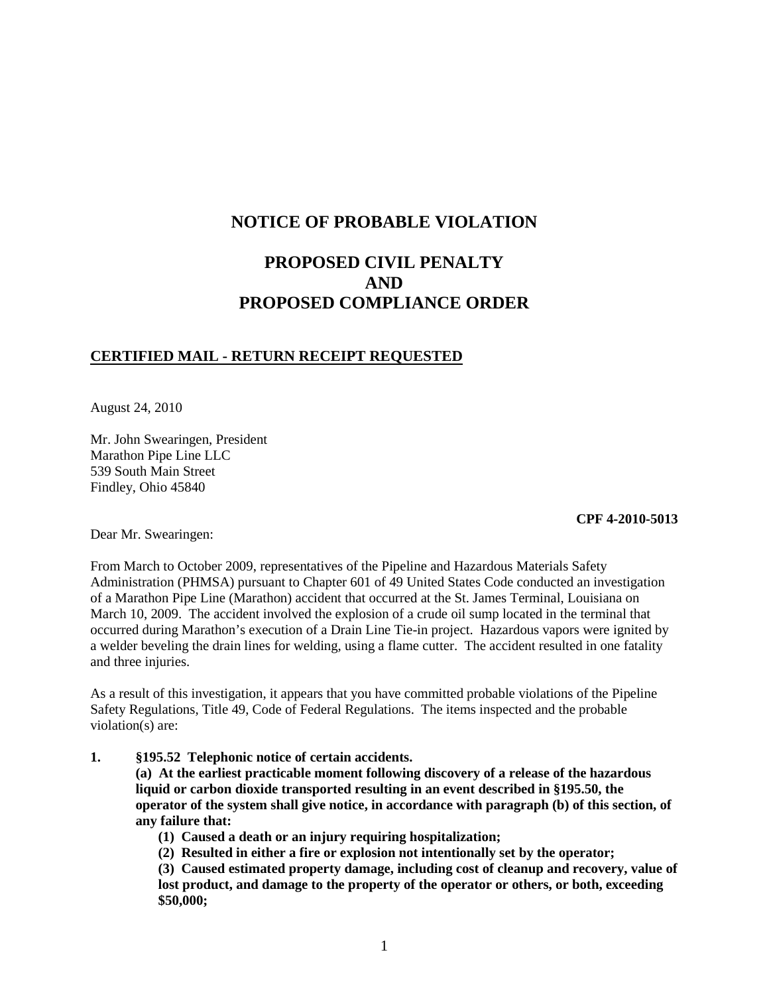# **NOTICE OF PROBABLE VIOLATION**

# **PROPOSED CIVIL PENALTY AND PROPOSED COMPLIANCE ORDER**

# **CERTIFIED MAIL - RETURN RECEIPT REQUESTED**

August 24, 2010

Mr. John Swearingen, President Marathon Pipe Line LLC 539 South Main Street Findley, Ohio 45840

#### **CPF 4-2010-5013**

Dear Mr. Swearingen:

From March to October 2009, representatives of the Pipeline and Hazardous Materials Safety Administration (PHMSA) pursuant to Chapter 601 of 49 United States Code conducted an investigation of a Marathon Pipe Line (Marathon) accident that occurred at the St. James Terminal, Louisiana on March 10, 2009. The accident involved the explosion of a crude oil sump located in the terminal that occurred during Marathon's execution of a Drain Line Tie-in project. Hazardous vapors were ignited by a welder beveling the drain lines for welding, using a flame cutter. The accident resulted in one fatality and three injuries.

As a result of this investigation, it appears that you have committed probable violations of the Pipeline Safety Regulations, Title 49, Code of Federal Regulations. The items inspected and the probable violation(s) are:

**1. §195.52 Telephonic notice of certain accidents.**

**(a) At the earliest practicable moment following discovery of a release of the hazardous liquid or carbon dioxide transported resulting in an event described in §195.50, the operator of the system shall give notice, in accordance with paragraph (b) of this section, of any failure that:**

- **(1) Caused a death or an injury requiring hospitalization;**
- **(2) Resulted in either a fire or explosion not intentionally set by the operator;**
- **(3) Caused estimated property damage, including cost of cleanup and recovery, value of lost product, and damage to the property of the operator or others, or both, exceeding \$50,000;**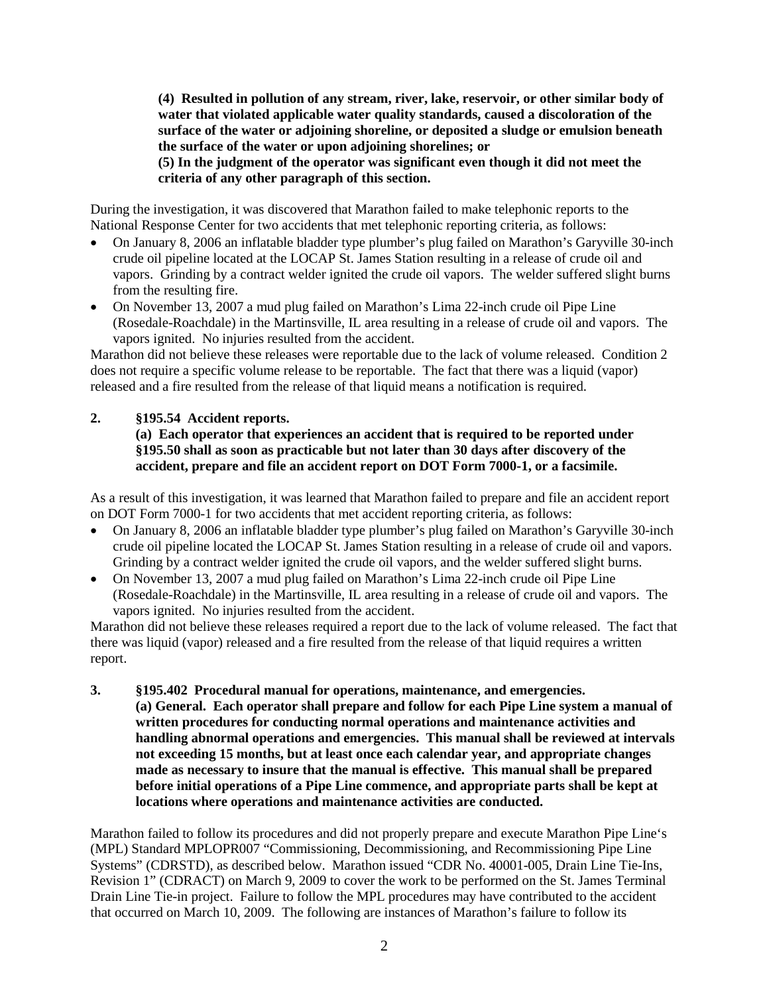**(4) Resulted in pollution of any stream, river, lake, reservoir, or other similar body of water that violated applicable water quality standards, caused a discoloration of the surface of the water or adjoining shoreline, or deposited a sludge or emulsion beneath the surface of the water or upon adjoining shorelines; or (5) In the judgment of the operator was significant even though it did not meet the criteria of any other paragraph of this section.**

During the investigation, it was discovered that Marathon failed to make telephonic reports to the National Response Center for two accidents that met telephonic reporting criteria, as follows:

- On January 8, 2006 an inflatable bladder type plumber's plug failed on Marathon's Garyville 30-inch crude oil pipeline located at the LOCAP St. James Station resulting in a release of crude oil and vapors. Grinding by a contract welder ignited the crude oil vapors. The welder suffered slight burns from the resulting fire.
- On November 13, 2007 a mud plug failed on Marathon's Lima 22-inch crude oil Pipe Line (Rosedale-Roachdale) in the Martinsville, IL area resulting in a release of crude oil and vapors. The vapors ignited. No injuries resulted from the accident.

Marathon did not believe these releases were reportable due to the lack of volume released. Condition 2 does not require a specific volume release to be reportable. The fact that there was a liquid (vapor) released and a fire resulted from the release of that liquid means a notification is required.

## **2. §195.54 Accident reports.**

# **(a) Each operator that experiences an accident that is required to be reported under §195.50 shall as soon as practicable but not later than 30 days after discovery of the accident, prepare and file an accident report on DOT Form 7000-1, or a facsimile.**

As a result of this investigation, it was learned that Marathon failed to prepare and file an accident report on DOT Form 7000-1 for two accidents that met accident reporting criteria, as follows:

- On January 8, 2006 an inflatable bladder type plumber's plug failed on Marathon's Garyville 30-inch crude oil pipeline located the LOCAP St. James Station resulting in a release of crude oil and vapors. Grinding by a contract welder ignited the crude oil vapors, and the welder suffered slight burns.
- On November 13, 2007 a mud plug failed on Marathon's Lima 22-inch crude oil Pipe Line (Rosedale-Roachdale) in the Martinsville, IL area resulting in a release of crude oil and vapors. The vapors ignited. No injuries resulted from the accident.

Marathon did not believe these releases required a report due to the lack of volume released. The fact that there was liquid (vapor) released and a fire resulted from the release of that liquid requires a written report.

**3. §195.402 Procedural manual for operations, maintenance, and emergencies. (a) General. Each operator shall prepare and follow for each Pipe Line system a manual of written procedures for conducting normal operations and maintenance activities and handling abnormal operations and emergencies. This manual shall be reviewed at intervals not exceeding 15 months, but at least once each calendar year, and appropriate changes made as necessary to insure that the manual is effective. This manual shall be prepared before initial operations of a Pipe Line commence, and appropriate parts shall be kept at locations where operations and maintenance activities are conducted.**

Marathon failed to follow its procedures and did not properly prepare and execute Marathon Pipe Line's (MPL) Standard MPLOPR007 "Commissioning, Decommissioning, and Recommissioning Pipe Line Systems" (CDRSTD), as described below. Marathon issued "CDR No. 40001-005, Drain Line Tie-Ins, Revision 1" (CDRACT) on March 9, 2009 to cover the work to be performed on the St. James Terminal Drain Line Tie-in project. Failure to follow the MPL procedures may have contributed to the accident that occurred on March 10, 2009. The following are instances of Marathon's failure to follow its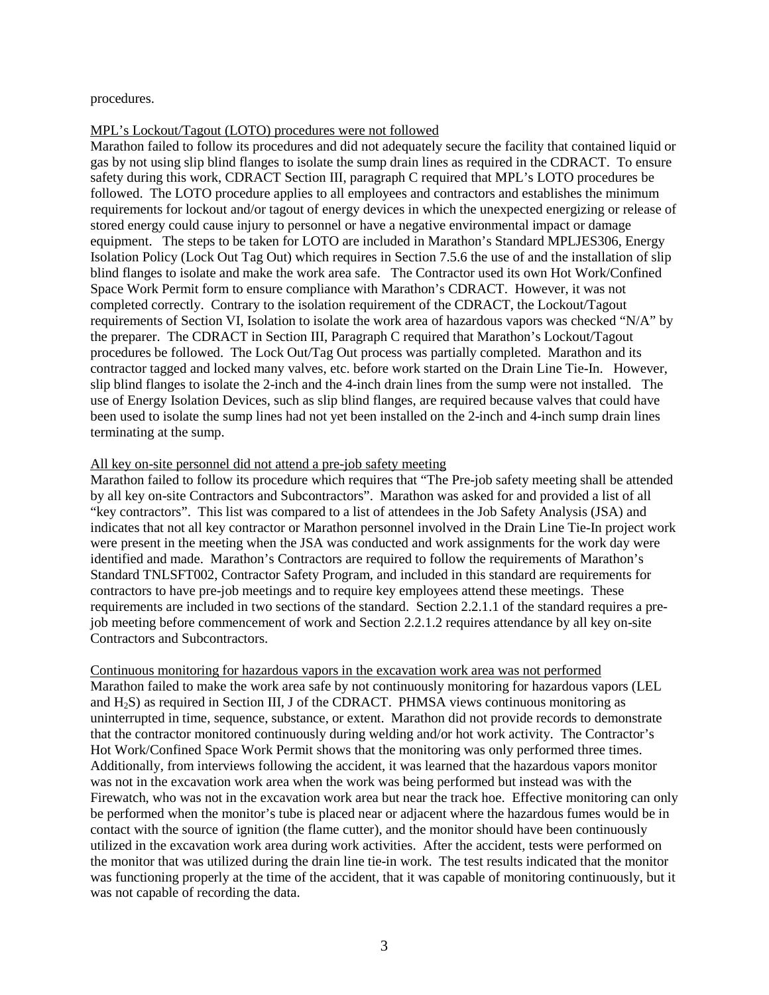procedures.

#### MPL's Lockout/Tagout (LOTO) procedures were not followed

Marathon failed to follow its procedures and did not adequately secure the facility that contained liquid or gas by not using slip blind flanges to isolate the sump drain lines as required in the CDRACT. To ensure safety during this work, CDRACT Section III, paragraph C required that MPL's LOTO procedures be followed. The LOTO procedure applies to all employees and contractors and establishes the minimum requirements for lockout and/or tagout of energy devices in which the unexpected energizing or release of stored energy could cause injury to personnel or have a negative environmental impact or damage equipment. The steps to be taken for LOTO are included in Marathon's Standard MPLJES306, Energy Isolation Policy (Lock Out Tag Out) which requires in Section 7.5.6 the use of and the installation of slip blind flanges to isolate and make the work area safe. The Contractor used its own Hot Work/Confined Space Work Permit form to ensure compliance with Marathon's CDRACT. However, it was not completed correctly. Contrary to the isolation requirement of the CDRACT, the Lockout/Tagout requirements of Section VI, Isolation to isolate the work area of hazardous vapors was checked "N/A" by the preparer. The CDRACT in Section III, Paragraph C required that Marathon's Lockout/Tagout procedures be followed. The Lock Out/Tag Out process was partially completed. Marathon and its contractor tagged and locked many valves, etc. before work started on the Drain Line Tie-In. However, slip blind flanges to isolate the 2-inch and the 4-inch drain lines from the sump were not installed. The use of Energy Isolation Devices, such as slip blind flanges, are required because valves that could have been used to isolate the sump lines had not yet been installed on the 2-inch and 4-inch sump drain lines terminating at the sump.

#### All key on-site personnel did not attend a pre-job safety meeting

Marathon failed to follow its procedure which requires that "The Pre-job safety meeting shall be attended by all key on-site Contractors and Subcontractors". Marathon was asked for and provided a list of all "key contractors". This list was compared to a list of attendees in the Job Safety Analysis (JSA) and indicates that not all key contractor or Marathon personnel involved in the Drain Line Tie-In project work were present in the meeting when the JSA was conducted and work assignments for the work day were identified and made. Marathon's Contractors are required to follow the requirements of Marathon's Standard TNLSFT002, Contractor Safety Program, and included in this standard are requirements for contractors to have pre-job meetings and to require key employees attend these meetings. These requirements are included in two sections of the standard. Section 2.2.1.1 of the standard requires a prejob meeting before commencement of work and Section 2.2.1.2 requires attendance by all key on-site Contractors and Subcontractors.

Continuous monitoring for hazardous vapors in the excavation work area was not performed Marathon failed to make the work area safe by not continuously monitoring for hazardous vapors (LEL and H2S) as required in Section III, J of the CDRACT. PHMSA views continuous monitoring as uninterrupted in time, sequence, substance, or extent. Marathon did not provide records to demonstrate that the contractor monitored continuously during welding and/or hot work activity. The Contractor's Hot Work/Confined Space Work Permit shows that the monitoring was only performed three times. Additionally, from interviews following the accident, it was learned that the hazardous vapors monitor was not in the excavation work area when the work was being performed but instead was with the Firewatch, who was not in the excavation work area but near the track hoe. Effective monitoring can only be performed when the monitor's tube is placed near or adjacent where the hazardous fumes would be in contact with the source of ignition (the flame cutter), and the monitor should have been continuously utilized in the excavation work area during work activities. After the accident, tests were performed on the monitor that was utilized during the drain line tie-in work. The test results indicated that the monitor was functioning properly at the time of the accident, that it was capable of monitoring continuously, but it was not capable of recording the data.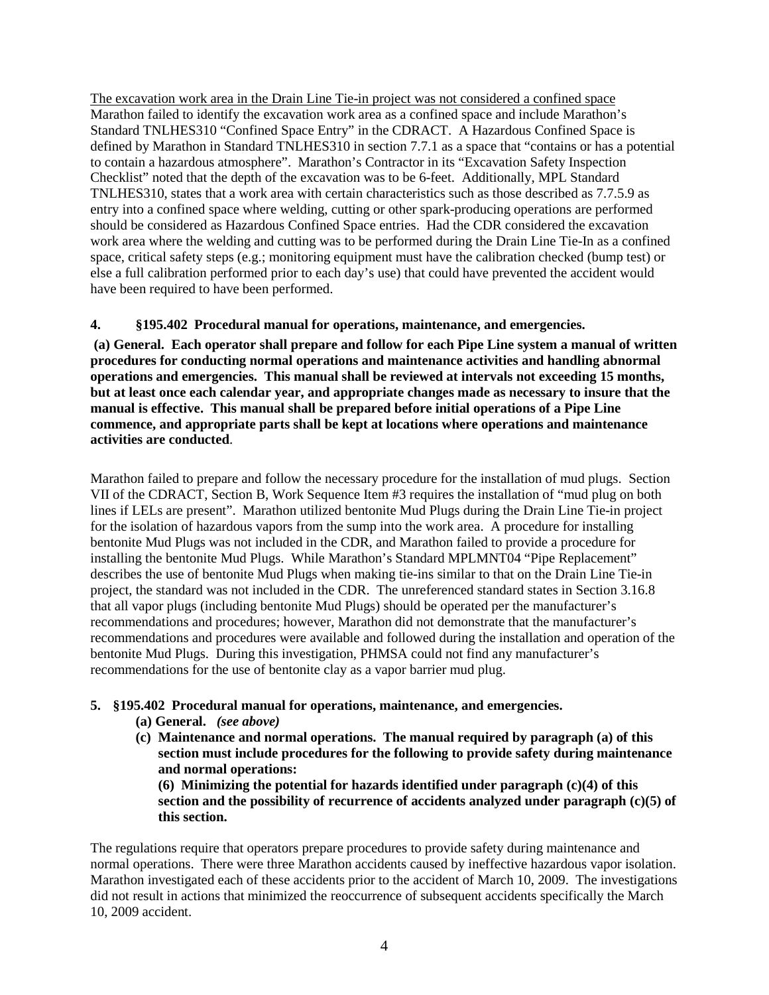The excavation work area in the Drain Line Tie-in project was not considered a confined space Marathon failed to identify the excavation work area as a confined space and include Marathon's Standard TNLHES310 "Confined Space Entry" in the CDRACT. A Hazardous Confined Space is defined by Marathon in Standard TNLHES310 in section 7.7.1 as a space that "contains or has a potential to contain a hazardous atmosphere". Marathon's Contractor in its "Excavation Safety Inspection Checklist" noted that the depth of the excavation was to be 6-feet. Additionally, MPL Standard TNLHES310, states that a work area with certain characteristics such as those described as 7.7.5.9 as entry into a confined space where welding, cutting or other spark-producing operations are performed should be considered as Hazardous Confined Space entries. Had the CDR considered the excavation work area where the welding and cutting was to be performed during the Drain Line Tie-In as a confined space, critical safety steps (e.g.; monitoring equipment must have the calibration checked (bump test) or else a full calibration performed prior to each day's use) that could have prevented the accident would have been required to have been performed.

# **4. §195.402 Procedural manual for operations, maintenance, and emergencies.**

**(a) General. Each operator shall prepare and follow for each Pipe Line system a manual of written procedures for conducting normal operations and maintenance activities and handling abnormal operations and emergencies. This manual shall be reviewed at intervals not exceeding 15 months, but at least once each calendar year, and appropriate changes made as necessary to insure that the manual is effective. This manual shall be prepared before initial operations of a Pipe Line commence, and appropriate parts shall be kept at locations where operations and maintenance activities are conducted**.

Marathon failed to prepare and follow the necessary procedure for the installation of mud plugs. Section VII of the CDRACT, Section B, Work Sequence Item #3 requires the installation of "mud plug on both lines if LELs are present". Marathon utilized bentonite Mud Plugs during the Drain Line Tie-in project for the isolation of hazardous vapors from the sump into the work area. A procedure for installing bentonite Mud Plugs was not included in the CDR, and Marathon failed to provide a procedure for installing the bentonite Mud Plugs. While Marathon's Standard MPLMNT04 "Pipe Replacement" describes the use of bentonite Mud Plugs when making tie-ins similar to that on the Drain Line Tie-in project, the standard was not included in the CDR. The unreferenced standard states in Section 3.16.8 that all vapor plugs (including bentonite Mud Plugs) should be operated per the manufacturer's recommendations and procedures; however, Marathon did not demonstrate that the manufacturer's recommendations and procedures were available and followed during the installation and operation of the bentonite Mud Plugs. During this investigation, PHMSA could not find any manufacturer's recommendations for the use of bentonite clay as a vapor barrier mud plug.

## **5. §195.402 Procedural manual for operations, maintenance, and emergencies.**

- **(a) General.** *(see above)*
- **(c) Maintenance and normal operations. The manual required by paragraph (a) of this section must include procedures for the following to provide safety during maintenance and normal operations:**

**(6) Minimizing the potential for hazards identified under paragraph (c)(4) of this section and the possibility of recurrence of accidents analyzed under paragraph (c)(5) of this section.**

The regulations require that operators prepare procedures to provide safety during maintenance and normal operations. There were three Marathon accidents caused by ineffective hazardous vapor isolation. Marathon investigated each of these accidents prior to the accident of March 10, 2009. The investigations did not result in actions that minimized the reoccurrence of subsequent accidents specifically the March 10, 2009 accident.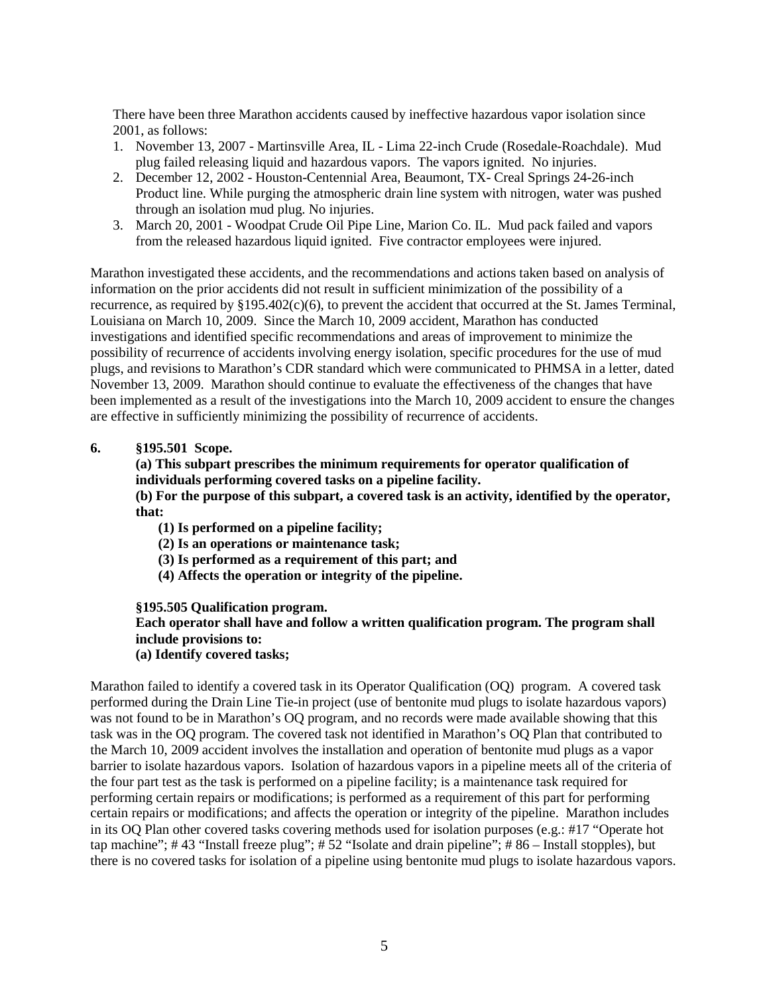There have been three Marathon accidents caused by ineffective hazardous vapor isolation since 2001, as follows:

- 1. November 13, 2007 Martinsville Area, IL Lima 22-inch Crude (Rosedale-Roachdale). Mud plug failed releasing liquid and hazardous vapors. The vapors ignited. No injuries.
- 2. December 12, 2002 Houston-Centennial Area, Beaumont, TX- Creal Springs 24-26-inch Product line. While purging the atmospheric drain line system with nitrogen, water was pushed through an isolation mud plug. No injuries.
- 3. March 20, 2001 Woodpat Crude Oil Pipe Line, Marion Co. IL. Mud pack failed and vapors from the released hazardous liquid ignited. Five contractor employees were injured.

Marathon investigated these accidents, and the recommendations and actions taken based on analysis of information on the prior accidents did not result in sufficient minimization of the possibility of a recurrence, as required by §195.402(c)(6), to prevent the accident that occurred at the St. James Terminal, Louisiana on March 10, 2009. Since the March 10, 2009 accident, Marathon has conducted investigations and identified specific recommendations and areas of improvement to minimize the possibility of recurrence of accidents involving energy isolation, specific procedures for the use of mud plugs, and revisions to Marathon's CDR standard which were communicated to PHMSA in a letter, dated November 13, 2009. Marathon should continue to evaluate the effectiveness of the changes that have been implemented as a result of the investigations into the March 10, 2009 accident to ensure the changes are effective in sufficiently minimizing the possibility of recurrence of accidents.

## **6. §195.501 Scope.**

# **(a) This subpart prescribes the minimum requirements for operator qualification of individuals performing covered tasks on a pipeline facility.**

**(b) For the purpose of this subpart, a covered task is an activity, identified by the operator, that:**

- **(1) Is performed on a pipeline facility;**
- **(2) Is an operations or maintenance task;**
- **(3) Is performed as a requirement of this part; and**
- **(4) Affects the operation or integrity of the pipeline.**

## **§195.505 Qualification program.**

# **Each operator shall have and follow a written qualification program. The program shall include provisions to:**

**(a) Identify covered tasks;** 

Marathon failed to identify a covered task in its Operator Qualification (OQ) program. A covered task performed during the Drain Line Tie-in project (use of bentonite mud plugs to isolate hazardous vapors) was not found to be in Marathon's OQ program, and no records were made available showing that this task was in the OQ program. The covered task not identified in Marathon's OQ Plan that contributed to the March 10, 2009 accident involves the installation and operation of bentonite mud plugs as a vapor barrier to isolate hazardous vapors. Isolation of hazardous vapors in a pipeline meets all of the criteria of the four part test as the task is performed on a pipeline facility; is a maintenance task required for performing certain repairs or modifications; is performed as a requirement of this part for performing certain repairs or modifications; and affects the operation or integrity of the pipeline. Marathon includes in its OQ Plan other covered tasks covering methods used for isolation purposes (e.g.: #17 "Operate hot tap machine"; # 43 "Install freeze plug"; # 52 "Isolate and drain pipeline"; # 86 – Install stopples), but there is no covered tasks for isolation of a pipeline using bentonite mud plugs to isolate hazardous vapors.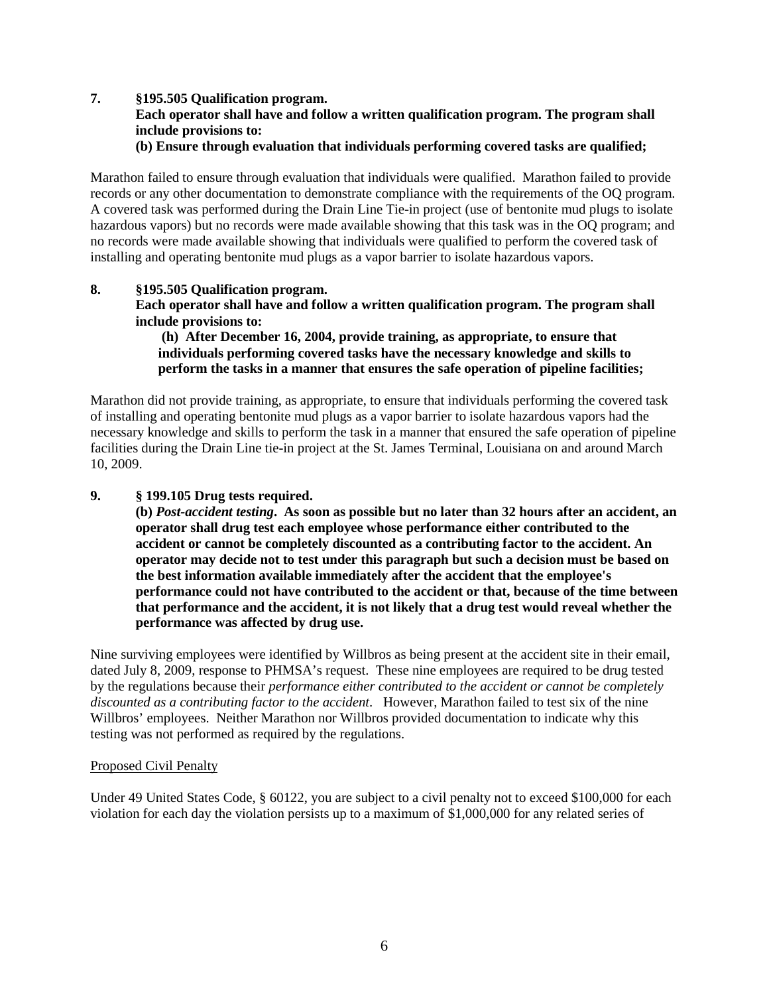## **7. §195.505 Qualification program.**

**Each operator shall have and follow a written qualification program. The program shall include provisions to:**

**(b) Ensure through evaluation that individuals performing covered tasks are qualified;**

Marathon failed to ensure through evaluation that individuals were qualified. Marathon failed to provide records or any other documentation to demonstrate compliance with the requirements of the OQ program. A covered task was performed during the Drain Line Tie-in project (use of bentonite mud plugs to isolate hazardous vapors) but no records were made available showing that this task was in the OQ program; and no records were made available showing that individuals were qualified to perform the covered task of installing and operating bentonite mud plugs as a vapor barrier to isolate hazardous vapors.

## **8. §195.505 Qualification program.**

**Each operator shall have and follow a written qualification program. The program shall include provisions to:**

**(h) After December 16, 2004, provide training, as appropriate, to ensure that individuals performing covered tasks have the necessary knowledge and skills to perform the tasks in a manner that ensures the safe operation of pipeline facilities;**

Marathon did not provide training, as appropriate, to ensure that individuals performing the covered task of installing and operating bentonite mud plugs as a vapor barrier to isolate hazardous vapors had the necessary knowledge and skills to perform the task in a manner that ensured the safe operation of pipeline facilities during the Drain Line tie-in project at the St. James Terminal, Louisiana on and around March 10, 2009.

## **9. § 199.105 Drug tests required.**

**(b)** *Post-accident testing***. As soon as possible but no later than 32 hours after an accident, an operator shall drug test each employee whose performance either contributed to the accident or cannot be completely discounted as a contributing factor to the accident. An operator may decide not to test under this paragraph but such a decision must be based on the best information available immediately after the accident that the employee's performance could not have contributed to the accident or that, because of the time between that performance and the accident, it is not likely that a drug test would reveal whether the performance was affected by drug use.**

Nine surviving employees were identified by Willbros as being present at the accident site in their email, dated July 8, 2009, response to PHMSA's request. These nine employees are required to be drug tested by the regulations because their *performance either contributed to the accident or cannot be completely discounted as a contributing factor to the accident*. However, Marathon failed to test six of the nine Willbros' employees. Neither Marathon nor Willbros provided documentation to indicate why this testing was not performed as required by the regulations.

### Proposed Civil Penalty

Under 49 United States Code, § 60122, you are subject to a civil penalty not to exceed \$100,000 for each violation for each day the violation persists up to a maximum of \$1,000,000 for any related series of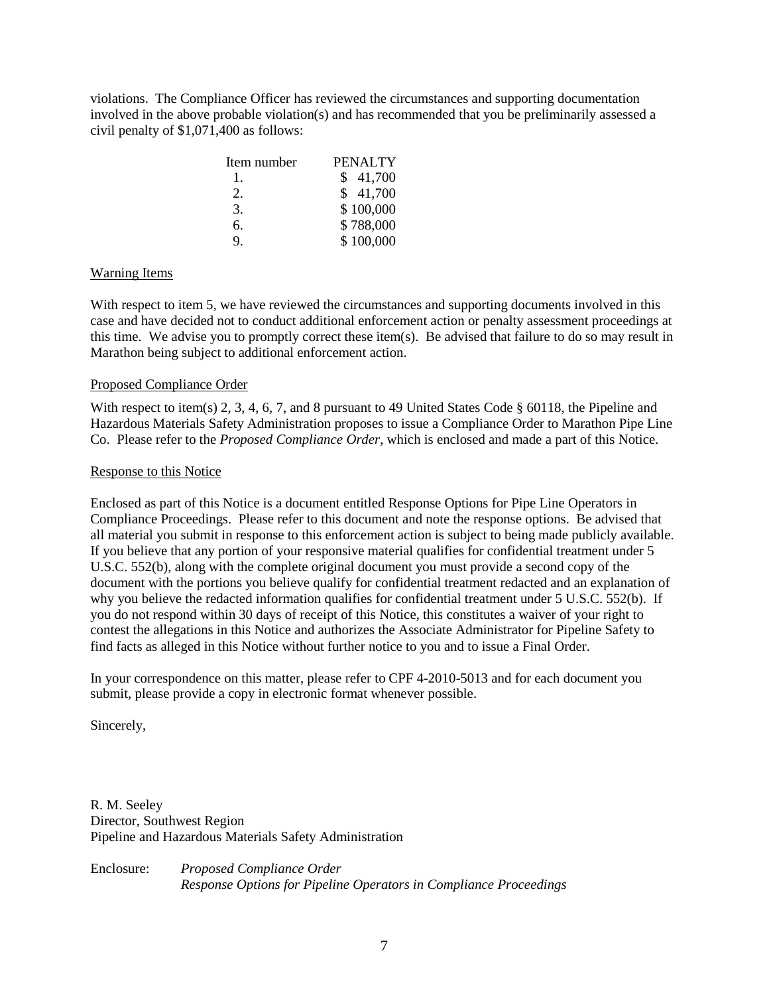violations. The Compliance Officer has reviewed the circumstances and supporting documentation involved in the above probable violation(s) and has recommended that you be preliminarily assessed a civil penalty of \$1,071,400 as follows:

| Item number | PENALTY   |
|-------------|-----------|
| T.          | \$41,700  |
| 2.          | \$41,700  |
| 3.          | \$100,000 |
| б.          | \$788,000 |
| 9           | \$100,000 |

## Warning Items

With respect to item 5, we have reviewed the circumstances and supporting documents involved in this case and have decided not to conduct additional enforcement action or penalty assessment proceedings at this time. We advise you to promptly correct these item(s). Be advised that failure to do so may result in Marathon being subject to additional enforcement action.

#### Proposed Compliance Order

With respect to item(s) 2, 3, 4, 6, 7, and 8 pursuant to 49 United States Code § 60118, the Pipeline and Hazardous Materials Safety Administration proposes to issue a Compliance Order to Marathon Pipe Line Co. Please refer to the *Proposed Compliance Order*, which is enclosed and made a part of this Notice.

#### Response to this Notice

Enclosed as part of this Notice is a document entitled Response Options for Pipe Line Operators in Compliance Proceedings. Please refer to this document and note the response options. Be advised that all material you submit in response to this enforcement action is subject to being made publicly available. If you believe that any portion of your responsive material qualifies for confidential treatment under 5 U.S.C. 552(b), along with the complete original document you must provide a second copy of the document with the portions you believe qualify for confidential treatment redacted and an explanation of why you believe the redacted information qualifies for confidential treatment under 5 U.S.C. 552(b). If you do not respond within 30 days of receipt of this Notice, this constitutes a waiver of your right to contest the allegations in this Notice and authorizes the Associate Administrator for Pipeline Safety to find facts as alleged in this Notice without further notice to you and to issue a Final Order.

In your correspondence on this matter, please refer to CPF 4-2010-5013 and for each document you submit, please provide a copy in electronic format whenever possible.

Sincerely,

R. M. Seeley Director, Southwest Region Pipeline and Hazardous Materials Safety Administration

Enclosure: *Proposed Compliance Order Response Options for Pipeline Operators in Compliance Proceedings*